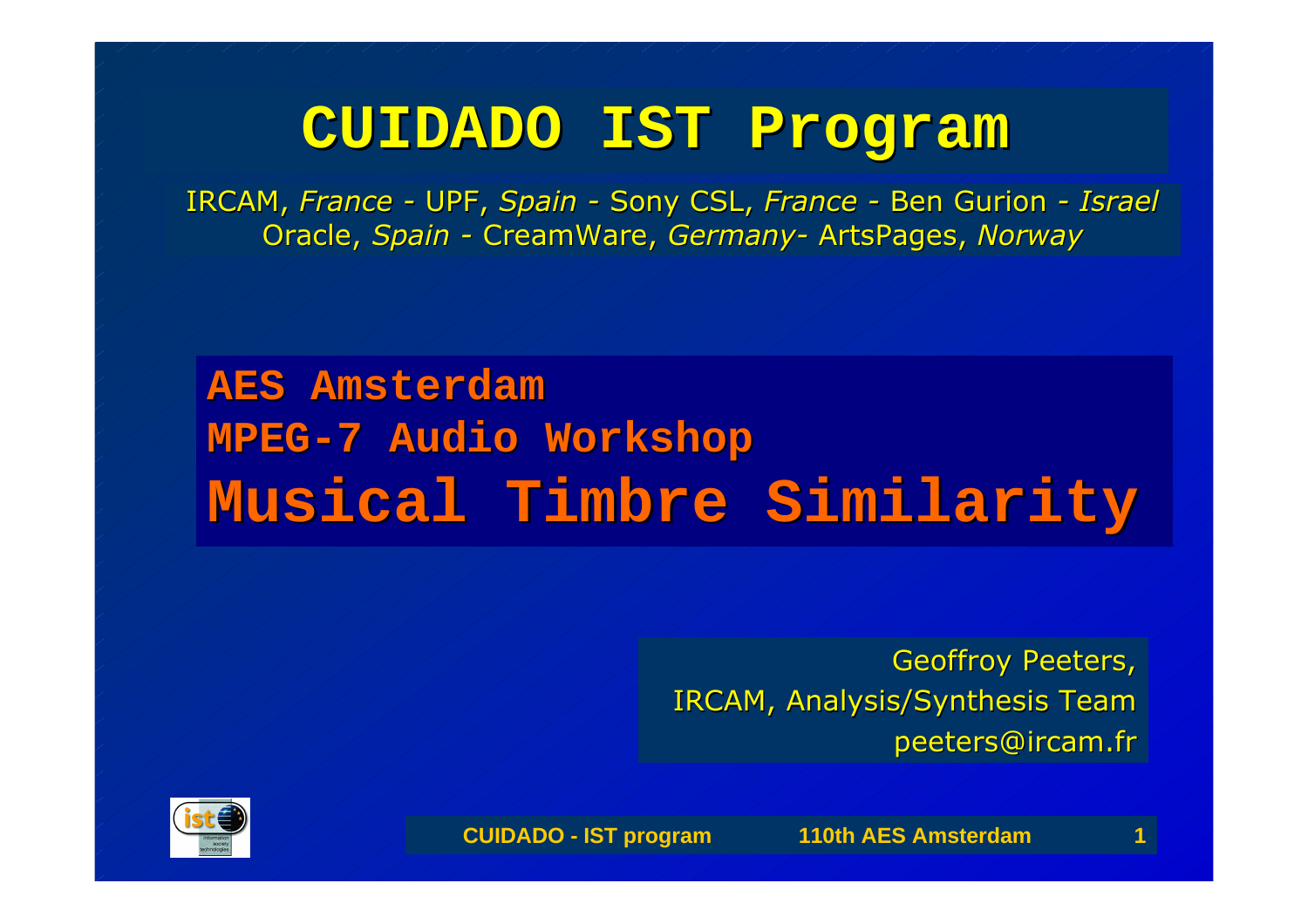### **CUIDADO IST Program CUIDADO IST Program**

IRCAM, *France -* UPF, *Spain -* Sony CSL, *France -* Ben Gurion *- Israel* Oracle, *Spain -* CreamWare, *Germany-* ArtsPages, *Norway* 

### **AES Amsterdam AES AmsterdamMPEG-7 Audio Workshop MPEG-7 Audio Workshop Musical Timbre Similarity Musical Timbre Similarity**

Geoffroy Peeters, IRCAM, Analysis/Synthesis Team peeters@ircam.fr

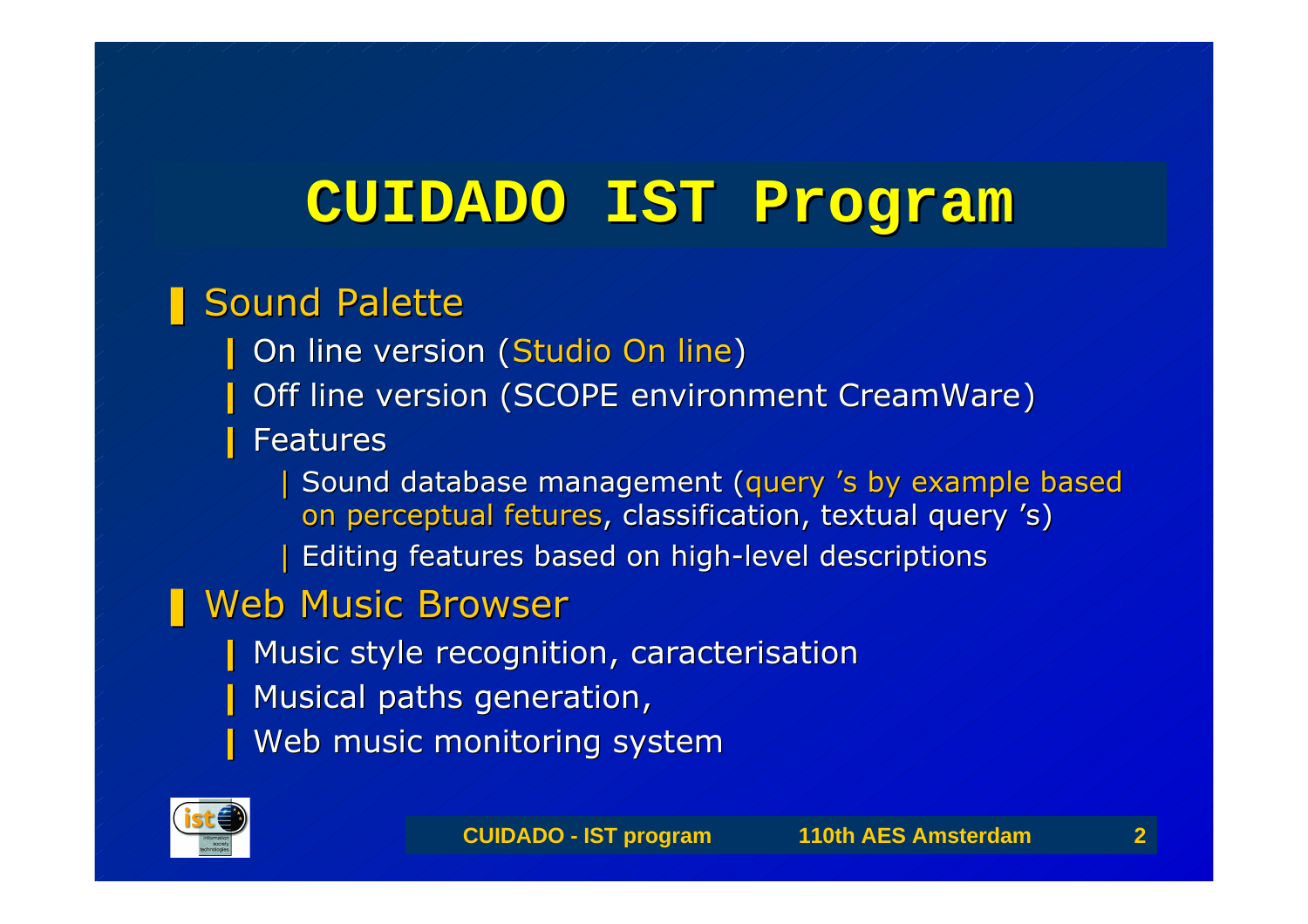## **CUIDADO IST Program**

#### **I** Sound Palette

- On line version (Studio On line)
- Off line version (SCOPE environment CreamWare)
- Features
	- I Sound database management (query 's by example based on perceptual fetures, classification, textual query 's)
	- Editing features based on high-level descriptions

### **Neb Music Browser**

- Music style recognition, caracterisation
- Musical paths generation,
- Web music monitoring system

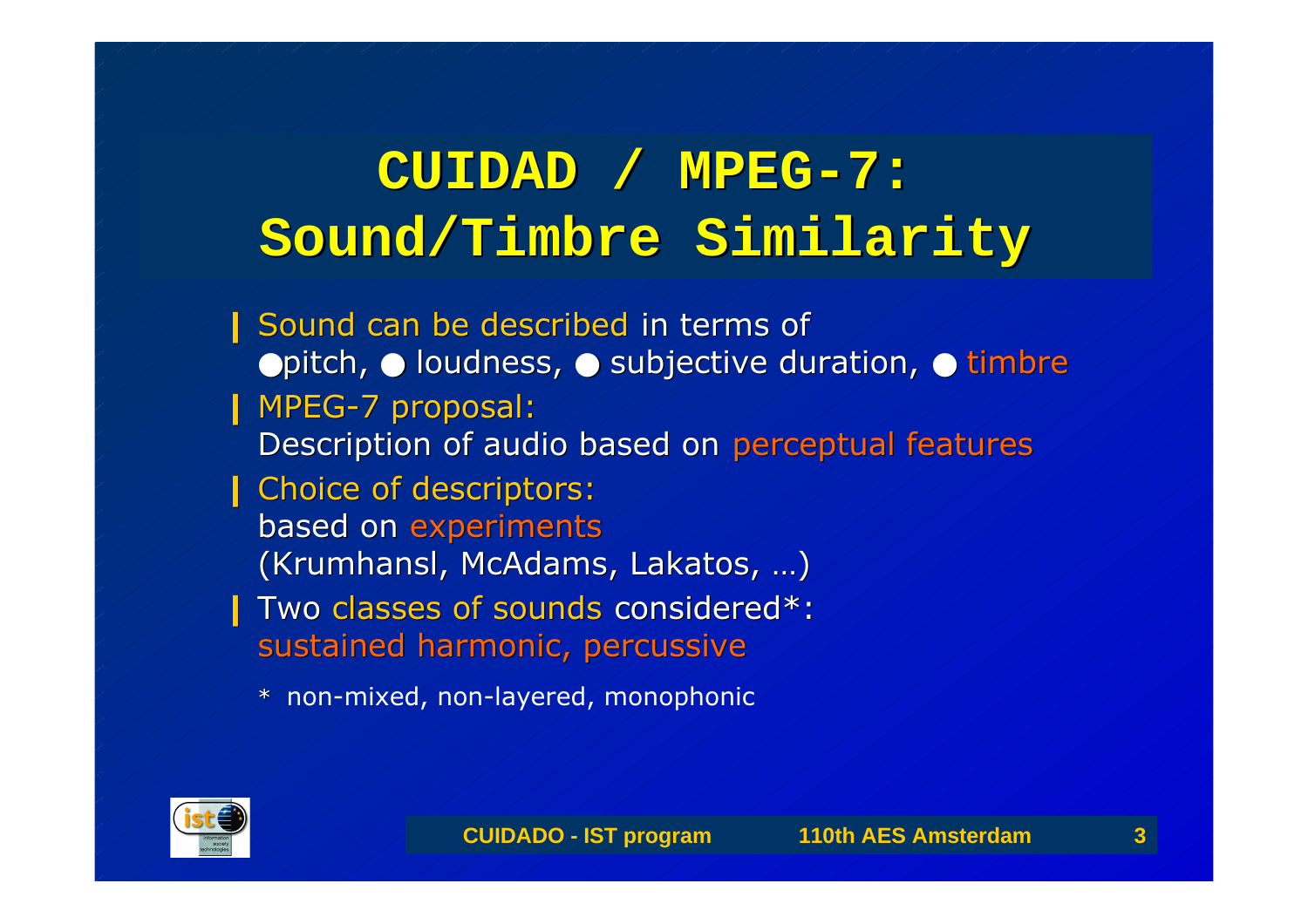# **CUIDAD / MPEG-7: CUIDAD / MPEG-7: Sound/Timbre Similarity Sound/Timbre Similarity**

- I Sound can be described in terms of  $\bullet$  pitch,  $\bullet$  loudness,  $\bullet$  subjective duration,  $\bullet$  timbre
- l MPEG-7 proposal: Description of audio based on perceptual features
- **I** Choice of descriptors: based on experiments (Krumhansl, McAdams, Lakatos, ...)
- **I** Two classes of sounds considered\*: sustained harmonic, percussive
	- \* non-mixed, non-layered, monophonic

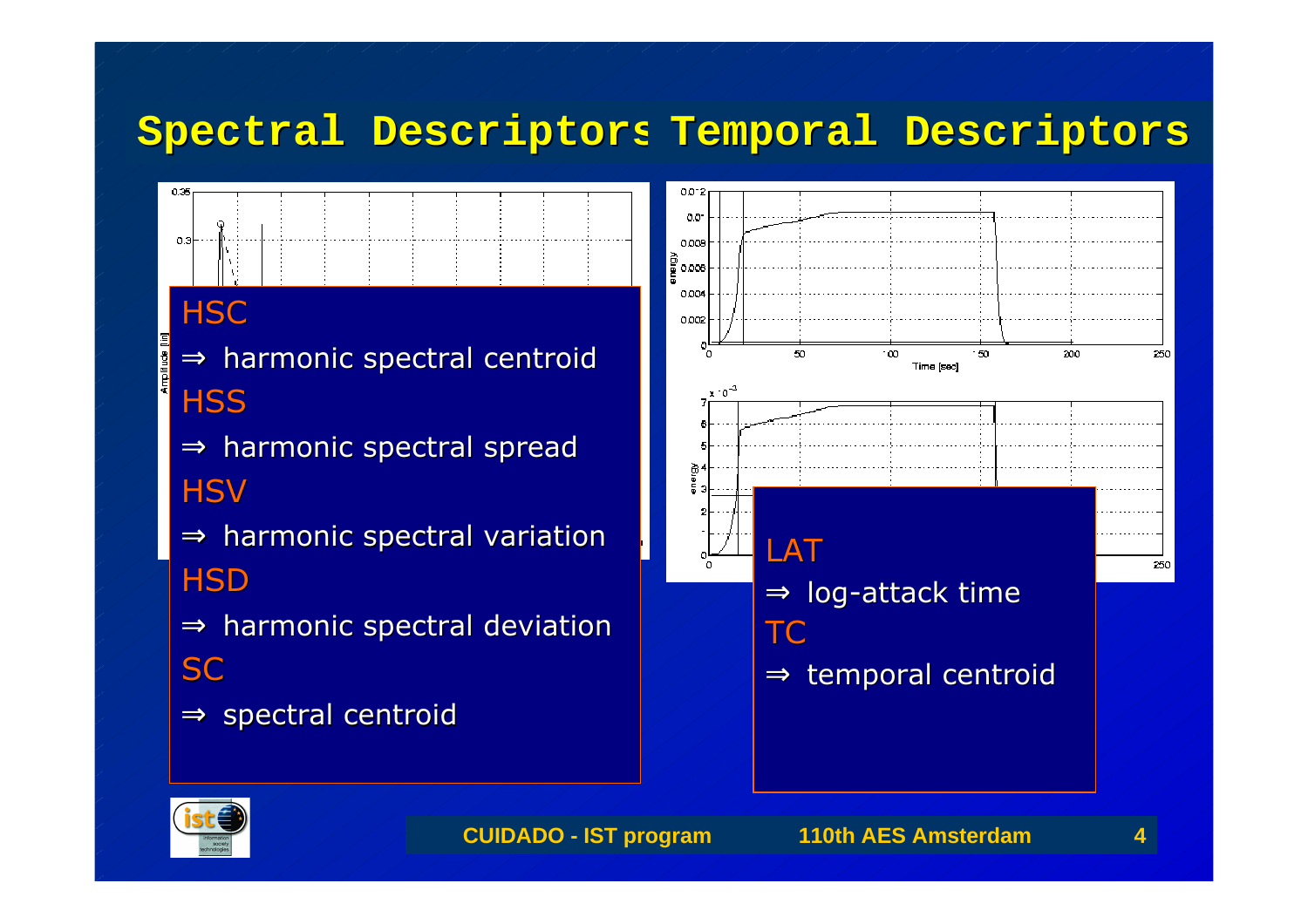#### **Spectral Descriptors Spectral Descriptors Temporal Descriptors Temporal Descriptors**

#### **HSC**

0.35

- $\Rightarrow$  harmonic spectral centroid **HSS**
- $\Rightarrow$  harmonic spectral spread **HSV**
- $\Rightarrow$  harmonic spectral variation **HSD**
- $\Rightarrow$  harmonic spectral deviation **SC**
- $\Rightarrow$  spectral centroid



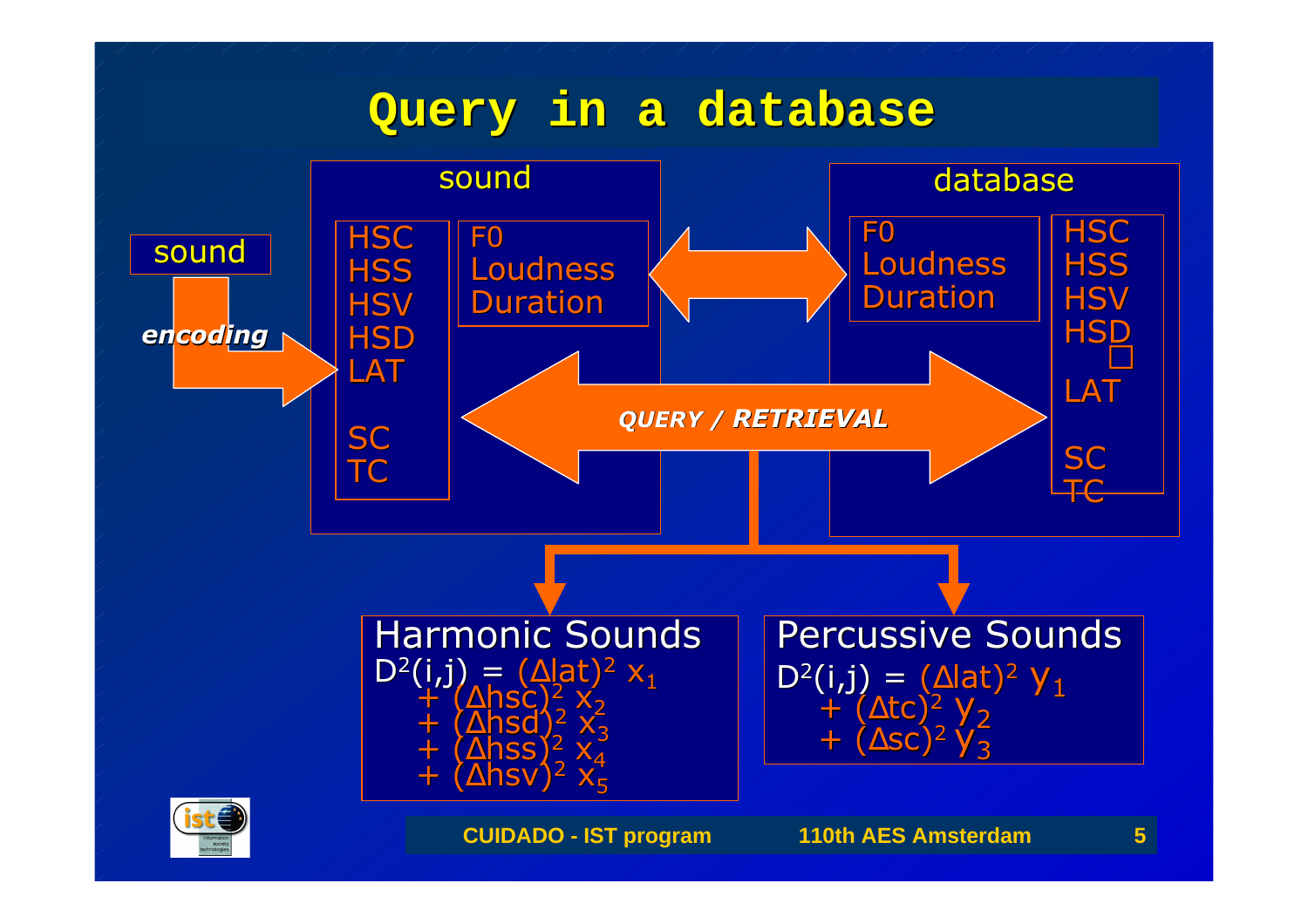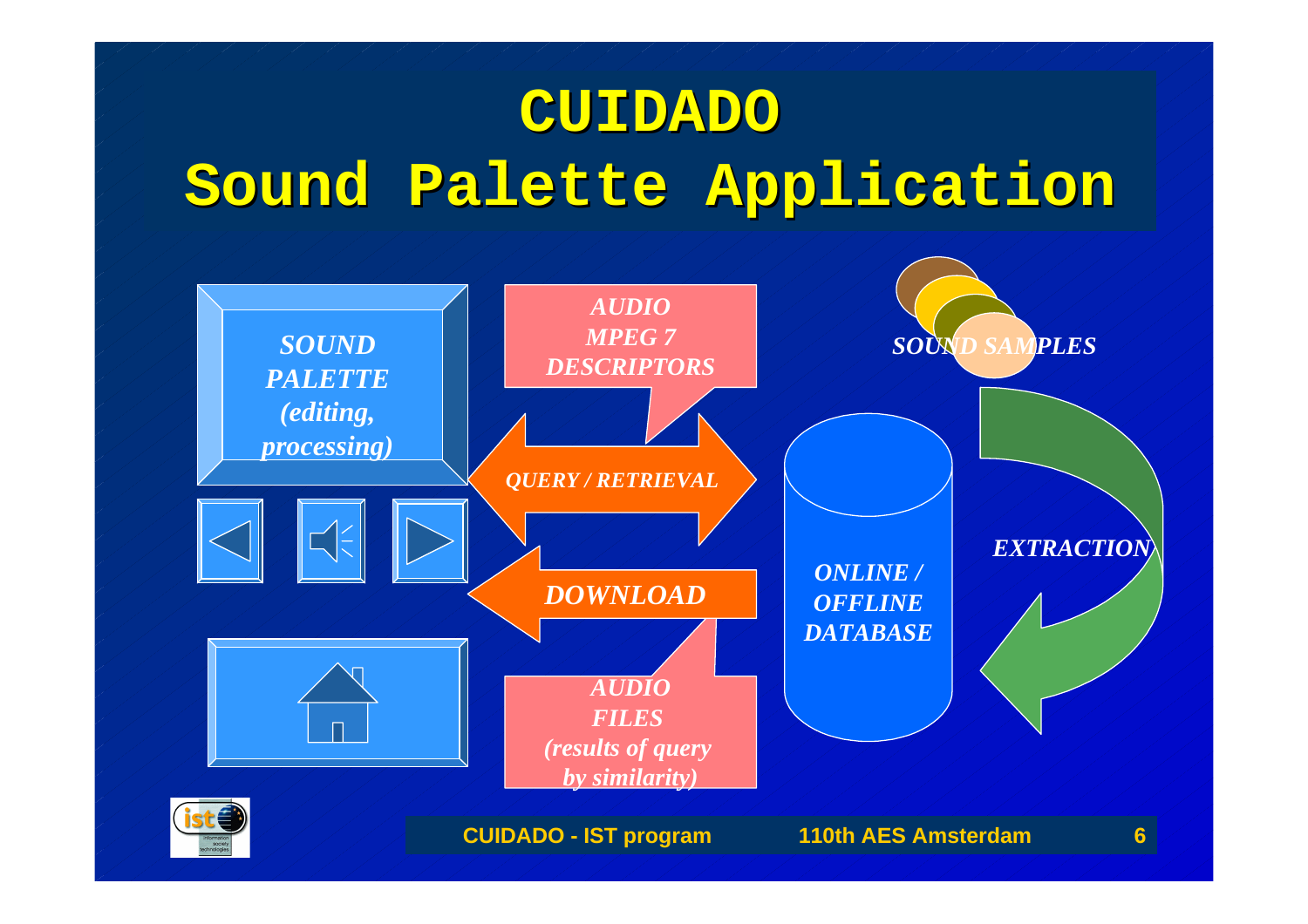### **CUIDADO CUIDADO**

# **Sound Palette Application Sound Palette Application**

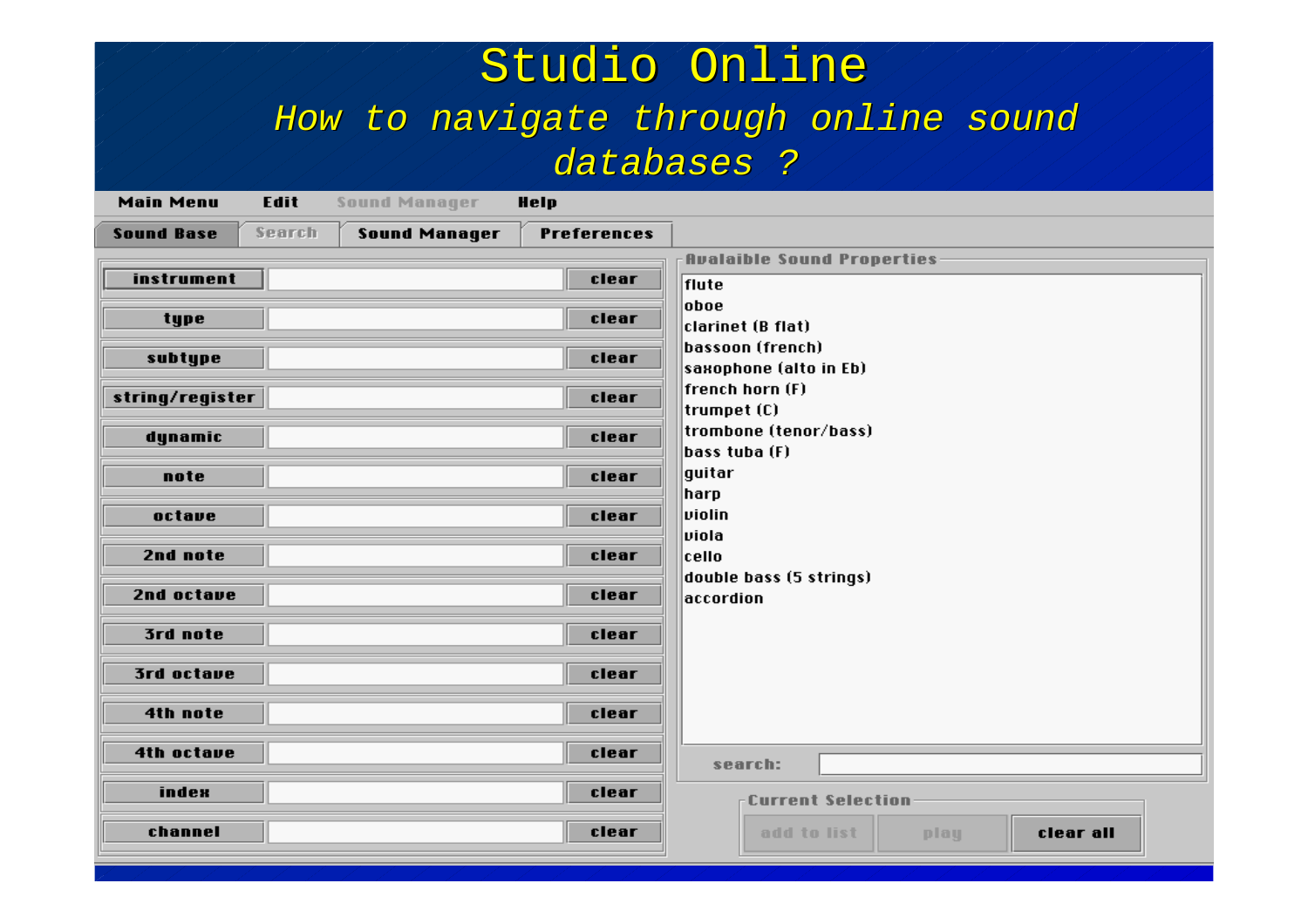| Studio Online                        |                              |                      |                    |                                            |  |  |  |  |  |  |
|--------------------------------------|------------------------------|----------------------|--------------------|--------------------------------------------|--|--|--|--|--|--|
| How to navigate through online sound |                              |                      |                    |                                            |  |  |  |  |  |  |
| databases ?                          |                              |                      |                    |                                            |  |  |  |  |  |  |
| <b>Main Menu</b>                     | Edit<br><b>Sound Manager</b> | Help                 |                    |                                            |  |  |  |  |  |  |
| <b>Sound Base</b>                    | Search                       | <b>Sound Manager</b> | <b>Preferences</b> |                                            |  |  |  |  |  |  |
| instrument                           |                              |                      | clear              | <b>Avalaible Sound Properties</b><br>flute |  |  |  |  |  |  |
| type                                 |                              |                      | clear              | oboe<br>clarinet (B flat)                  |  |  |  |  |  |  |
| subtype                              | clear                        |                      |                    | bassoon (french)<br>saxophone (alto in Eb) |  |  |  |  |  |  |
| string/register                      |                              |                      | clear              | $ $ french horn (F)<br>trumpet (C)         |  |  |  |  |  |  |
| dynamic                              |                              |                      | clear              | trombone (tenor/bass)<br> bass tuba (F)    |  |  |  |  |  |  |
| note                                 |                              |                      | clear              | guitar<br> harp                            |  |  |  |  |  |  |
| octave                               |                              |                      | clear              | lviolin<br>lviola                          |  |  |  |  |  |  |
| 2nd note                             |                              |                      | clear              | cello                                      |  |  |  |  |  |  |
| 2nd octave                           |                              |                      | clear              | double bass (5 strings)<br> accordion      |  |  |  |  |  |  |
| 3rd note                             |                              |                      | clear              |                                            |  |  |  |  |  |  |
| 3rd octave                           |                              |                      | clear              |                                            |  |  |  |  |  |  |
| 4th note                             |                              |                      | clear              |                                            |  |  |  |  |  |  |
| 4th octave                           |                              |                      | clear              | search:                                    |  |  |  |  |  |  |
| index                                |                              |                      | clear              | <b>Current Selection</b>                   |  |  |  |  |  |  |
| channel                              |                              |                      | clear              | add to list<br>clear all<br>play           |  |  |  |  |  |  |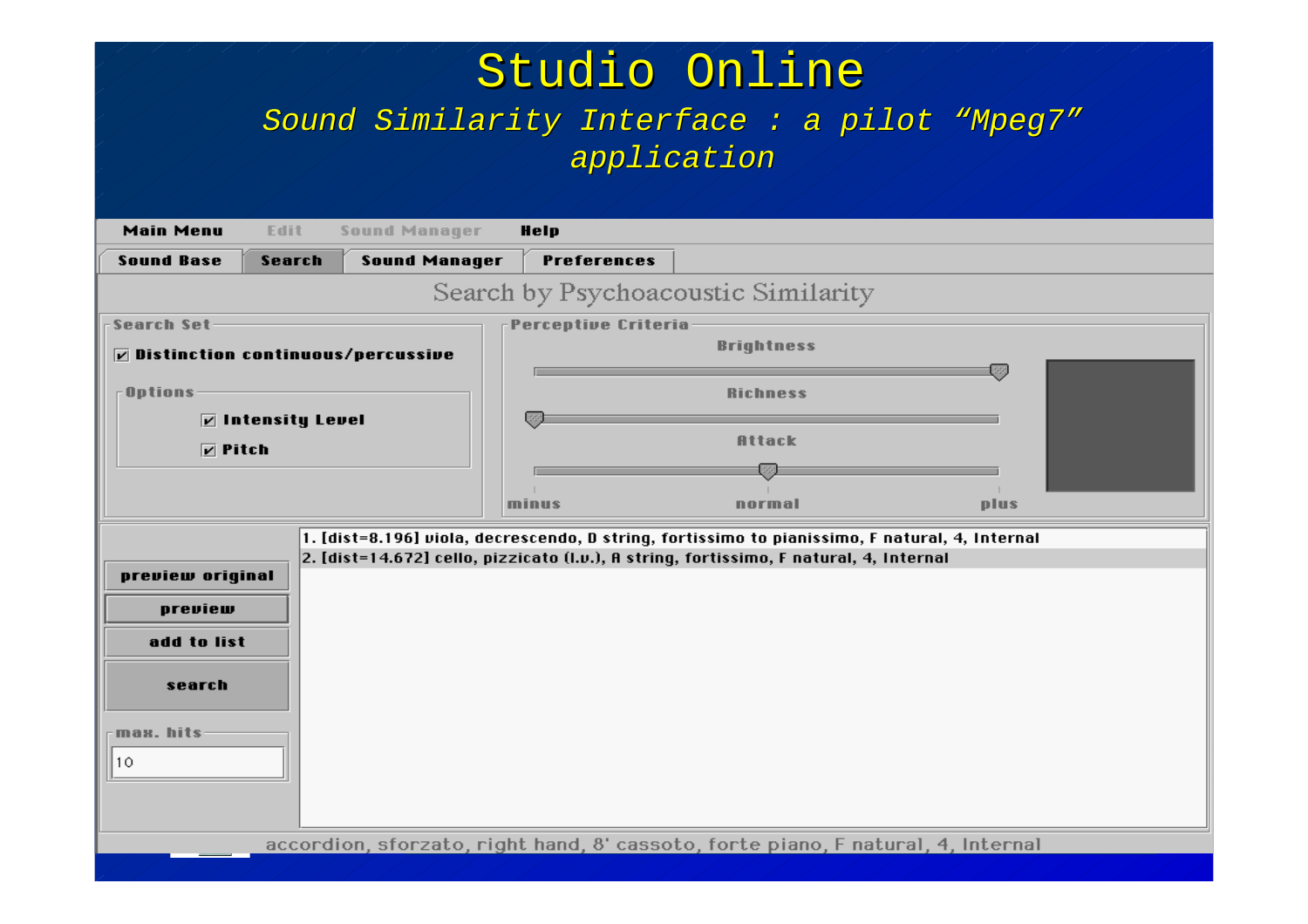|                                                                                                                                                                                                                                                                                                                                                         |                            |                      |                    | Studio Online     |                                              |  |  |  |  |  |
|---------------------------------------------------------------------------------------------------------------------------------------------------------------------------------------------------------------------------------------------------------------------------------------------------------------------------------------------------------|----------------------------|----------------------|--------------------|-------------------|----------------------------------------------|--|--|--|--|--|
|                                                                                                                                                                                                                                                                                                                                                         |                            |                      | application        |                   | Sound Similarity Interface : a pilot "Mpeg7" |  |  |  |  |  |
| <b>Main Menu</b>                                                                                                                                                                                                                                                                                                                                        | Edit                       | <b>Sound Manager</b> | Help               |                   |                                              |  |  |  |  |  |
| <b>Sound Base</b>                                                                                                                                                                                                                                                                                                                                       | Search                     | <b>Sound Manager</b> | <b>Preferences</b> |                   |                                              |  |  |  |  |  |
| Search by Psychoacoustic Similarity                                                                                                                                                                                                                                                                                                                     |                            |                      |                    |                   |                                              |  |  |  |  |  |
| <b>Search Set</b>                                                                                                                                                                                                                                                                                                                                       | <b>Perceptive Criteria</b> |                      |                    |                   |                                              |  |  |  |  |  |
| <b><math>\triangledown</math> Distinction continuous/percussive</b>                                                                                                                                                                                                                                                                                     |                            |                      |                    | <b>Brightness</b> |                                              |  |  |  |  |  |
| <b>Options</b>                                                                                                                                                                                                                                                                                                                                          |                            |                      |                    | <b>Richness</b>   |                                              |  |  |  |  |  |
| <b><math>\boxed{\mathcal{L}}</math> Intensity Level</b>                                                                                                                                                                                                                                                                                                 |                            |                      |                    |                   |                                              |  |  |  |  |  |
| $\n  P$ itch                                                                                                                                                                                                                                                                                                                                            |                            |                      |                    | <b>Attack</b>     |                                              |  |  |  |  |  |
|                                                                                                                                                                                                                                                                                                                                                         |                            |                      |                    |                   |                                              |  |  |  |  |  |
|                                                                                                                                                                                                                                                                                                                                                         |                            |                      | minus              | normal            | plus                                         |  |  |  |  |  |
| 1. [dist=8.196] viola, decrescendo, D string, fortissimo to pianissimo, F natural, 4, Internal<br>2. [dist=14.672] cello, pizzicato (I.v.), A string, fortissimo, F natural, 4, Internal<br>preview original<br>preview<br>add to list<br>search<br>max. hits<br>10<br>accordion, sforzato, right hand, 8' cassoto, forte piano, F natural, 4, Internal |                            |                      |                    |                   |                                              |  |  |  |  |  |
|                                                                                                                                                                                                                                                                                                                                                         |                            |                      |                    |                   |                                              |  |  |  |  |  |